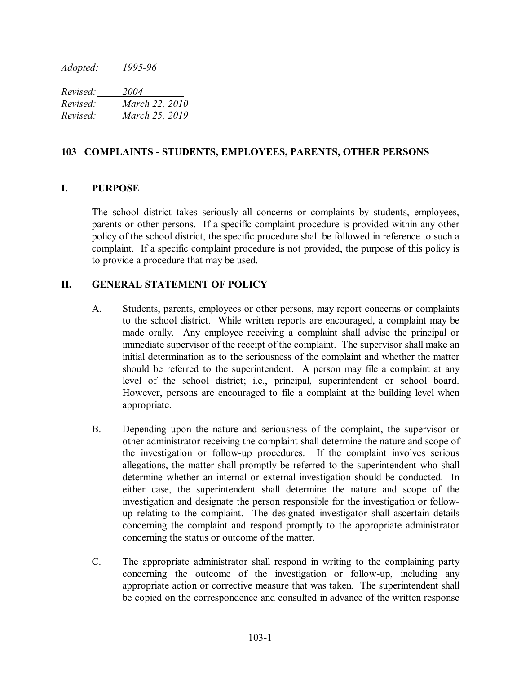*Adopted: 1995-96*

*Revised: 2004 Revised: March 22, 2010 Revised: March 25, 2019* 

## **103 COMPLAINTS - STUDENTS, EMPLOYEES, PARENTS, OTHER PERSONS**

## **I. PURPOSE**

The school district takes seriously all concerns or complaints by students, employees, parents or other persons. If a specific complaint procedure is provided within any other policy of the school district, the specific procedure shall be followed in reference to such a complaint. If a specific complaint procedure is not provided, the purpose of this policy is to provide a procedure that may be used.

## **II. GENERAL STATEMENT OF POLICY**

- A. Students, parents, employees or other persons, may report concerns or complaints to the school district. While written reports are encouraged, a complaint may be made orally. Any employee receiving a complaint shall advise the principal or immediate supervisor of the receipt of the complaint. The supervisor shall make an initial determination as to the seriousness of the complaint and whether the matter should be referred to the superintendent. A person may file a complaint at any level of the school district; i.e., principal, superintendent or school board. However, persons are encouraged to file a complaint at the building level when appropriate.
- B. Depending upon the nature and seriousness of the complaint, the supervisor or other administrator receiving the complaint shall determine the nature and scope of the investigation or follow-up procedures. If the complaint involves serious allegations, the matter shall promptly be referred to the superintendent who shall determine whether an internal or external investigation should be conducted. In either case, the superintendent shall determine the nature and scope of the investigation and designate the person responsible for the investigation or followup relating to the complaint. The designated investigator shall ascertain details concerning the complaint and respond promptly to the appropriate administrator concerning the status or outcome of the matter.
- C. The appropriate administrator shall respond in writing to the complaining party concerning the outcome of the investigation or follow-up, including any appropriate action or corrective measure that was taken. The superintendent shall be copied on the correspondence and consulted in advance of the written response